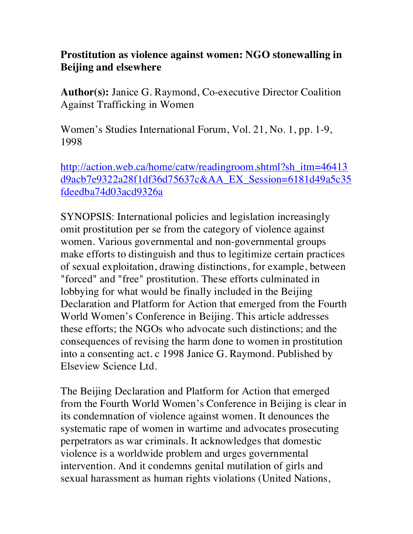## **Prostitution as violence against women: NGO stonewalling in Beijing and elsewhere**

**Author(s):** Janice G. Raymond, Co-executive Director Coalition Against Trafficking in Women

Women's Studies International Forum, Vol. 21, No. 1, pp. 1-9, 1998

http://action.web.ca/home/catw/readingroom.shtml?sh\_itm=46413 d9acb7e9322a28f1df36d75637c&AA\_EX\_Session=6181d49a5c35 fdeedba74d03acd9326a

SYNOPSIS: International policies and legislation increasingly omit prostitution per se from the category of violence against women. Various governmental and non-governmental groups make efforts to distinguish and thus to legitimize certain practices of sexual exploitation, drawing distinctions, for example, between "forced" and "free" prostitution. These efforts culminated in lobbying for what would be finally included in the Beijing Declaration and Platform for Action that emerged from the Fourth World Women's Conference in Beijing. This article addresses these efforts; the NGOs who advocate such distinctions; and the consequences of revising the harm done to women in prostitution into a consenting act. c 1998 Janice G. Raymond. Published by Elseview Science Ltd.

The Beijing Declaration and Platform for Action that emerged from the Fourth World Women's Conference in Beijing is clear in its condemnation of violence against women. It denounces the systematic rape of women in wartime and advocates prosecuting perpetrators as war criminals. It acknowledges that domestic violence is a worldwide problem and urges governmental intervention. And it condemns genital mutilation of girls and sexual harassment as human rights violations (United Nations,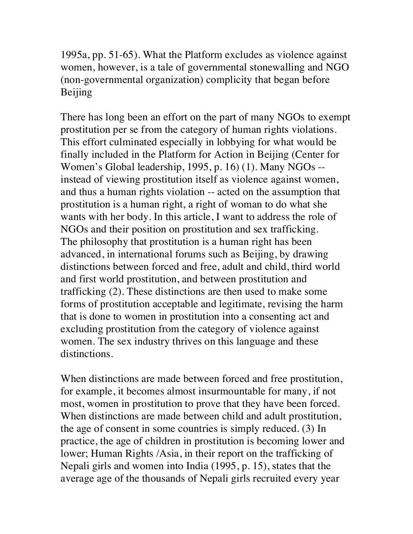1995a, pp. 51-65). What the Platform excludes as violence against women, however, is a tale of governmental stonewalling and NGO (non-governmental organization) complicity that began before Beijing

There has long been an effort on the part of many NGOs to exempt prostitution per se from the category of human rights violations. This effort culminated especially in lobbying for what would be finally included in the Platform for Action in Beijing (Center for Women's Global leadership, 1995, p. 16) (1). Many NGOs - instead of viewing prostitution itself as violence against women, and thus a human rights violation -- acted on the assumption that prostitution is a human right, a right of woman to do what she wants with her body. In this article, I want to address the role of NGOs and their position on prostitution and sex trafficking. The philosophy that prostitution is a human right has been advanced, in international forums such as Beijing, by drawing distinctions between forced and free, adult and child, third world and first world prostitution, and between prostitution and trafficking (2). These distinctions are then used to make some forms of prostitution acceptable and legitimate, revising the harm that is done to women in prostitution into a consenting act and excluding prostitution from the category of violence against women. The sex industry thrives on this language and these distinctions.

When distinctions are made between forced and free prostitution, for example, it becomes almost insurmountable for many, if not most, women in prostitution to prove that they have been forced. When distinctions are made between child and adult prostitution, the age of consent in some countries is simply reduced. (3) In practice, the age of children in prostitution is becoming lower and lower; Human Rights /Asia, in their report on the trafficking of Nepali girls and women into India (1995, p. 15), states that the average age of the thousands of Nepali girls recruited every year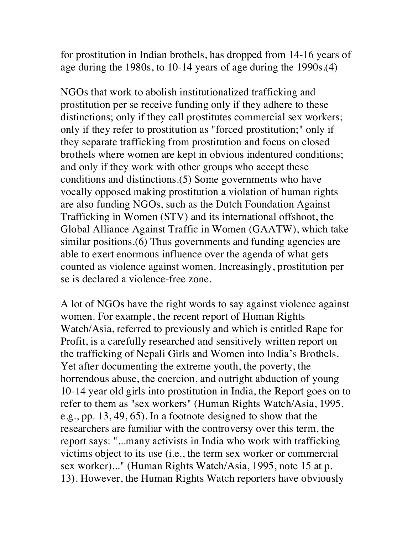for prostitution in Indian brothels, has dropped from 14-16 years of age during the 1980s, to 10-14 years of age during the 1990s.(4)

NGOs that work to abolish institutionalized trafficking and prostitution per se receive funding only if they adhere to these distinctions; only if they call prostitutes commercial sex workers; only if they refer to prostitution as "forced prostitution;" only if they separate trafficking from prostitution and focus on closed brothels where women are kept in obvious indentured conditions; and only if they work with other groups who accept these conditions and distinctions.(5) Some governments who have vocally opposed making prostitution a violation of human rights are also funding NGOs, such as the Dutch Foundation Against Trafficking in Women (STV) and its international offshoot, the Global Alliance Against Traffic in Women (GAATW), which take similar positions.(6) Thus governments and funding agencies are able to exert enormous influence over the agenda of what gets counted as violence against women. Increasingly, prostitution per se is declared a violence-free zone.

A lot of NGOs have the right words to say against violence against women. For example, the recent report of Human Rights Watch/Asia, referred to previously and which is entitled Rape for Profit, is a carefully researched and sensitively written report on the trafficking of Nepali Girls and Women into India's Brothels. Yet after documenting the extreme youth, the poverty, the horrendous abuse, the coercion, and outright abduction of young 10-14 year old girls into prostitution in India, the Report goes on to refer to them as "sex workers" (Human Rights Watch/Asia, 1995, e.g., pp. 13, 49, 65). In a footnote designed to show that the researchers are familiar with the controversy over this term, the report says: "...many activists in India who work with trafficking victims object to its use (i.e., the term sex worker or commercial sex worker)..." (Human Rights Watch/Asia, 1995, note 15 at p. 13). However, the Human Rights Watch reporters have obviously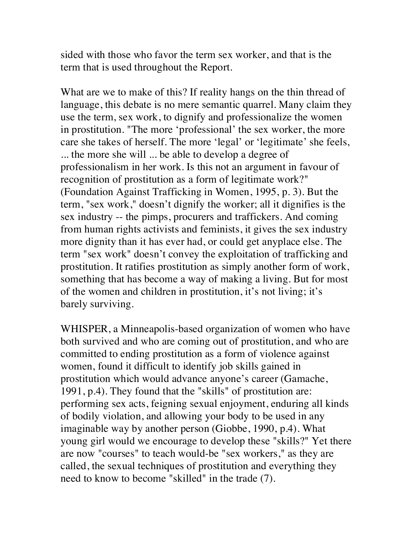sided with those who favor the term sex worker, and that is the term that is used throughout the Report.

What are we to make of this? If reality hangs on the thin thread of language, this debate is no mere semantic quarrel. Many claim they use the term, sex work, to dignify and professionalize the women in prostitution. "The more 'professional' the sex worker, the more care she takes of herself. The more 'legal' or 'legitimate' she feels, ... the more she will ... be able to develop a degree of professionalism in her work. Is this not an argument in favour of recognition of prostitution as a form of legitimate work?" (Foundation Against Trafficking in Women, 1995, p. 3). But the term, "sex work," doesn't dignify the worker; all it dignifies is the sex industry -- the pimps, procurers and traffickers. And coming from human rights activists and feminists, it gives the sex industry more dignity than it has ever had, or could get anyplace else. The term "sex work" doesn't convey the exploitation of trafficking and prostitution. It ratifies prostitution as simply another form of work, something that has become a way of making a living. But for most of the women and children in prostitution, it's not living; it's barely surviving.

WHISPER, a Minneapolis-based organization of women who have both survived and who are coming out of prostitution, and who are committed to ending prostitution as a form of violence against women, found it difficult to identify job skills gained in prostitution which would advance anyone's career (Gamache, 1991, p.4). They found that the "skills" of prostitution are: performing sex acts, feigning sexual enjoyment, enduring all kinds of bodily violation, and allowing your body to be used in any imaginable way by another person (Giobbe, 1990, p.4). What young girl would we encourage to develop these "skills?" Yet there are now "courses" to teach would-be "sex workers," as they are called, the sexual techniques of prostitution and everything they need to know to become "skilled" in the trade (7).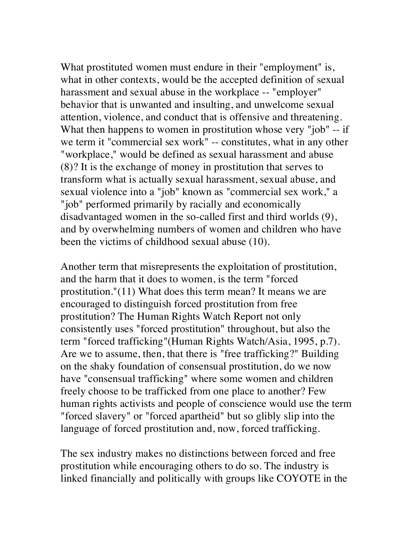What prostituted women must endure in their "employment" is, what in other contexts, would be the accepted definition of sexual harassment and sexual abuse in the workplace -- "employer" behavior that is unwanted and insulting, and unwelcome sexual attention, violence, and conduct that is offensive and threatening. What then happens to women in prostitution whose very "job" -- if we term it "commercial sex work" -- constitutes, what in any other "workplace," would be defined as sexual harassment and abuse (8)? It is the exchange of money in prostitution that serves to transform what is actually sexual harassment, sexual abuse, and sexual violence into a "job" known as "commercial sex work," a "job" performed primarily by racially and economically disadvantaged women in the so-called first and third worlds (9), and by overwhelming numbers of women and children who have been the victims of childhood sexual abuse (10).

Another term that misrepresents the exploitation of prostitution, and the harm that it does to women, is the term "forced prostitution."(11) What does this term mean? It means we are encouraged to distinguish forced prostitution from free prostitution? The Human Rights Watch Report not only consistently uses "forced prostitution" throughout, but also the term "forced trafficking"(Human Rights Watch/Asia, 1995, p.7). Are we to assume, then, that there is "free trafficking?" Building on the shaky foundation of consensual prostitution, do we now have "consensual trafficking" where some women and children freely choose to be trafficked from one place to another? Few human rights activists and people of conscience would use the term "forced slavery" or "forced apartheid" but so glibly slip into the language of forced prostitution and, now, forced trafficking.

The sex industry makes no distinctions between forced and free prostitution while encouraging others to do so. The industry is linked financially and politically with groups like COYOTE in the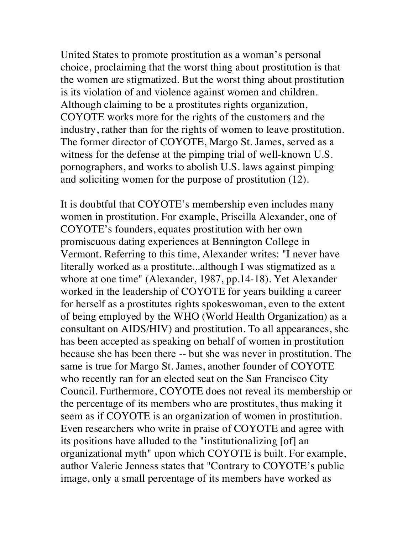United States to promote prostitution as a woman's personal choice, proclaiming that the worst thing about prostitution is that the women are stigmatized. But the worst thing about prostitution is its violation of and violence against women and children. Although claiming to be a prostitutes rights organization, COYOTE works more for the rights of the customers and the industry, rather than for the rights of women to leave prostitution. The former director of COYOTE, Margo St. James, served as a witness for the defense at the pimping trial of well-known U.S. pornographers, and works to abolish U.S. laws against pimping and soliciting women for the purpose of prostitution (12).

It is doubtful that COYOTE's membership even includes many women in prostitution. For example, Priscilla Alexander, one of COYOTE's founders, equates prostitution with her own promiscuous dating experiences at Bennington College in Vermont. Referring to this time, Alexander writes: "I never have literally worked as a prostitute...although I was stigmatized as a whore at one time" (Alexander, 1987, pp.14-18). Yet Alexander worked in the leadership of COYOTE for years building a career for herself as a prostitutes rights spokeswoman, even to the extent of being employed by the WHO (World Health Organization) as a consultant on AIDS/HIV) and prostitution. To all appearances, she has been accepted as speaking on behalf of women in prostitution because she has been there -- but she was never in prostitution. The same is true for Margo St. James, another founder of COYOTE who recently ran for an elected seat on the San Francisco City Council. Furthermore, COYOTE does not reveal its membership or the percentage of its members who are prostitutes, thus making it seem as if COYOTE is an organization of women in prostitution. Even researchers who write in praise of COYOTE and agree with its positions have alluded to the "institutionalizing [of] an organizational myth" upon which COYOTE is built. For example, author Valerie Jenness states that "Contrary to COYOTE's public image, only a small percentage of its members have worked as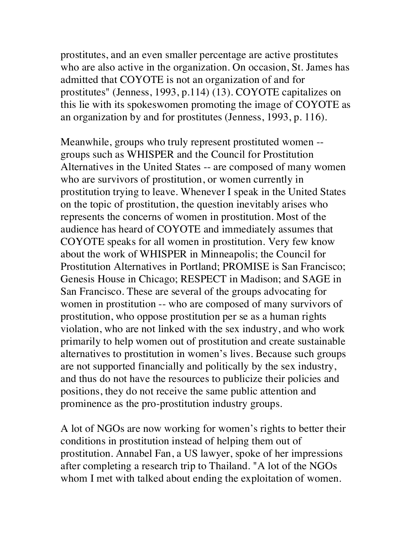prostitutes, and an even smaller percentage are active prostitutes who are also active in the organization. On occasion, St. James has admitted that COYOTE is not an organization of and for prostitutes" (Jenness, 1993, p.114) (13). COYOTE capitalizes on this lie with its spokeswomen promoting the image of COYOTE as an organization by and for prostitutes (Jenness, 1993, p. 116).

Meanwhile, groups who truly represent prostituted women - groups such as WHISPER and the Council for Prostitution Alternatives in the United States -- are composed of many women who are survivors of prostitution, or women currently in prostitution trying to leave. Whenever I speak in the United States on the topic of prostitution, the question inevitably arises who represents the concerns of women in prostitution. Most of the audience has heard of COYOTE and immediately assumes that COYOTE speaks for all women in prostitution. Very few know about the work of WHISPER in Minneapolis; the Council for Prostitution Alternatives in Portland; PROMISE is San Francisco; Genesis House in Chicago; RESPECT in Madison; and SAGE in San Francisco. These are several of the groups advocating for women in prostitution -- who are composed of many survivors of prostitution, who oppose prostitution per se as a human rights violation, who are not linked with the sex industry, and who work primarily to help women out of prostitution and create sustainable alternatives to prostitution in women's lives. Because such groups are not supported financially and politically by the sex industry, and thus do not have the resources to publicize their policies and positions, they do not receive the same public attention and prominence as the pro-prostitution industry groups.

A lot of NGOs are now working for women's rights to better their conditions in prostitution instead of helping them out of prostitution. Annabel Fan, a US lawyer, spoke of her impressions after completing a research trip to Thailand. "A lot of the NGOs whom I met with talked about ending the exploitation of women.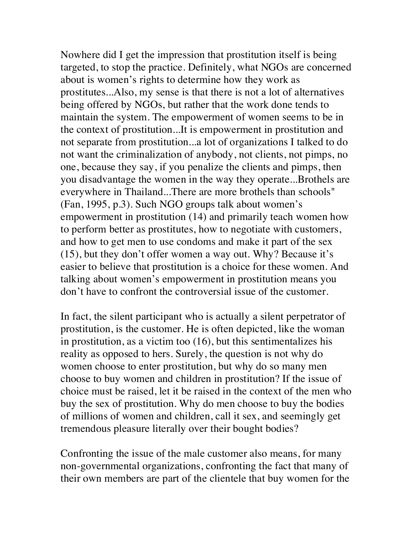Nowhere did I get the impression that prostitution itself is being targeted, to stop the practice. Definitely, what NGOs are concerned about is women's rights to determine how they work as prostitutes...Also, my sense is that there is not a lot of alternatives being offered by NGOs, but rather that the work done tends to maintain the system. The empowerment of women seems to be in the context of prostitution...It is empowerment in prostitution and not separate from prostitution...a lot of organizations I talked to do not want the criminalization of anybody, not clients, not pimps, no one, because they say, if you penalize the clients and pimps, then you disadvantage the women in the way they operate...Brothels are everywhere in Thailand...There are more brothels than schools" (Fan, 1995, p.3). Such NGO groups talk about women's empowerment in prostitution (14) and primarily teach women how to perform better as prostitutes, how to negotiate with customers, and how to get men to use condoms and make it part of the sex (15), but they don't offer women a way out. Why? Because it's easier to believe that prostitution is a choice for these women. And talking about women's empowerment in prostitution means you don't have to confront the controversial issue of the customer.

In fact, the silent participant who is actually a silent perpetrator of prostitution, is the customer. He is often depicted, like the woman in prostitution, as a victim too (16), but this sentimentalizes his reality as opposed to hers. Surely, the question is not why do women choose to enter prostitution, but why do so many men choose to buy women and children in prostitution? If the issue of choice must be raised, let it be raised in the context of the men who buy the sex of prostitution. Why do men choose to buy the bodies of millions of women and children, call it sex, and seemingly get tremendous pleasure literally over their bought bodies?

Confronting the issue of the male customer also means, for many non-governmental organizations, confronting the fact that many of their own members are part of the clientele that buy women for the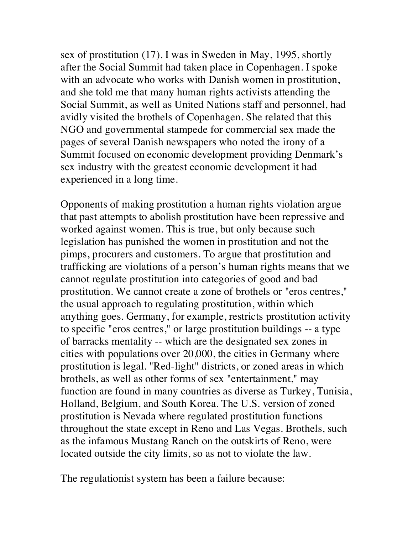sex of prostitution (17). I was in Sweden in May, 1995, shortly after the Social Summit had taken place in Copenhagen. I spoke with an advocate who works with Danish women in prostitution, and she told me that many human rights activists attending the Social Summit, as well as United Nations staff and personnel, had avidly visited the brothels of Copenhagen. She related that this NGO and governmental stampede for commercial sex made the pages of several Danish newspapers who noted the irony of a Summit focused on economic development providing Denmark's sex industry with the greatest economic development it had experienced in a long time.

Opponents of making prostitution a human rights violation argue that past attempts to abolish prostitution have been repressive and worked against women. This is true, but only because such legislation has punished the women in prostitution and not the pimps, procurers and customers. To argue that prostitution and trafficking are violations of a person's human rights means that we cannot regulate prostitution into categories of good and bad prostitution. We cannot create a zone of brothels or "eros centres," the usual approach to regulating prostitution, within which anything goes. Germany, for example, restricts prostitution activity to specific "eros centres," or large prostitution buildings -- a type of barracks mentality -- which are the designated sex zones in cities with populations over 20,000, the cities in Germany where prostitution is legal. "Red-light" districts, or zoned areas in which brothels, as well as other forms of sex "entertainment," may function are found in many countries as diverse as Turkey, Tunisia, Holland, Belgium, and South Korea. The U.S. version of zoned prostitution is Nevada where regulated prostitution functions throughout the state except in Reno and Las Vegas. Brothels, such as the infamous Mustang Ranch on the outskirts of Reno, were located outside the city limits, so as not to violate the law.

The regulationist system has been a failure because: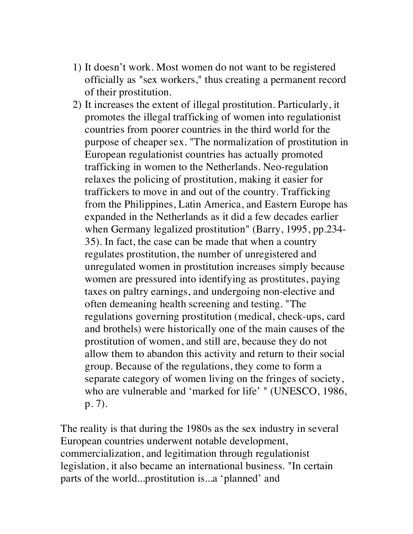- 1) It doesn't work. Most women do not want to be registered officially as "sex workers," thus creating a permanent record of their prostitution.
- 2) It increases the extent of illegal prostitution. Particularly, it promotes the illegal trafficking of women into regulationist countries from poorer countries in the third world for the purpose of cheaper sex. "The normalization of prostitution in European regulationist countries has actually promoted trafficking in women to the Netherlands. Neo-regulation relaxes the policing of prostitution, making it easier for traffickers to move in and out of the country. Trafficking from the Philippines, Latin America, and Eastern Europe has expanded in the Netherlands as it did a few decades earlier when Germany legalized prostitution" (Barry, 1995, pp.234- 35). In fact, the case can be made that when a country regulates prostitution, the number of unregistered and unregulated women in prostitution increases simply because women are pressured into identifying as prostitutes, paying taxes on paltry earnings, and undergoing non-elective and often demeaning health screening and testing. "The regulations governing prostitution (medical, check-ups, card and brothels) were historically one of the main causes of the prostitution of women, and still are, because they do not allow them to abandon this activity and return to their social group. Because of the regulations, they come to form a separate category of women living on the fringes of society, who are vulnerable and 'marked for life' " (UNESCO, 1986, p. 7).

The reality is that during the 1980s as the sex industry in several European countries underwent notable development, commercialization, and legitimation through regulationist legislation, it also became an international business. "In certain parts of the world...prostitution is...a 'planned' and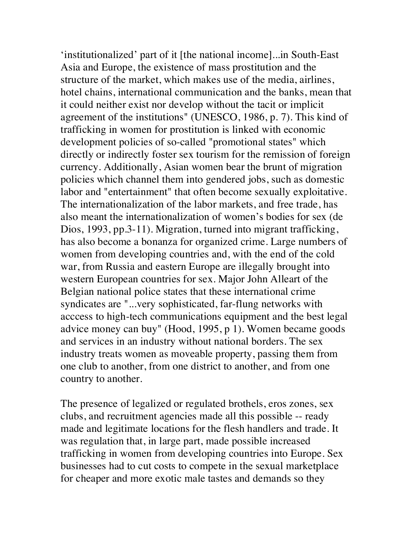'institutionalized' part of it [the national income]...in South-East Asia and Europe, the existence of mass prostitution and the structure of the market, which makes use of the media, airlines, hotel chains, international communication and the banks, mean that it could neither exist nor develop without the tacit or implicit agreement of the institutions" (UNESCO, 1986, p. 7). This kind of trafficking in women for prostitution is linked with economic development policies of so-called "promotional states" which directly or indirectly foster sex tourism for the remission of foreign currency. Additionally, Asian women bear the brunt of migration policies which channel them into gendered jobs, such as domestic labor and "entertainment" that often become sexually exploitative. The internationalization of the labor markets, and free trade, has also meant the internationalization of women's bodies for sex (de Dios, 1993, pp.3-11). Migration, turned into migrant trafficking, has also become a bonanza for organized crime. Large numbers of women from developing countries and, with the end of the cold war, from Russia and eastern Europe are illegally brought into western European countries for sex. Major John Alleart of the Belgian national police states that these international crime syndicates are "...very sophisticated, far-flung networks with acccess to high-tech communications equipment and the best legal advice money can buy" (Hood, 1995, p 1). Women became goods and services in an industry without national borders. The sex industry treats women as moveable property, passing them from one club to another, from one district to another, and from one country to another.

The presence of legalized or regulated brothels, eros zones, sex clubs, and recruitment agencies made all this possible -- ready made and legitimate locations for the flesh handlers and trade. It was regulation that, in large part, made possible increased trafficking in women from developing countries into Europe. Sex businesses had to cut costs to compete in the sexual marketplace for cheaper and more exotic male tastes and demands so they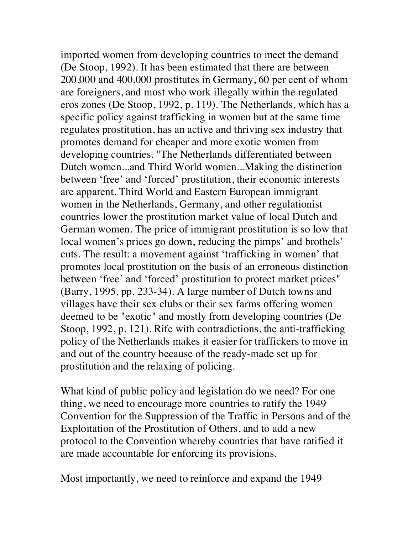imported women from developing countries to meet the demand (De Stoop, 1992). It has been estimated that there are between 200,000 and 400,000 prostitutes in Germany, 60 per cent of whom are foreigners, and most who work illegally within the regulated eros zones (De Stoop, 1992, p. 119). The Netherlands, which has a specific policy against trafficking in women but at the same time regulates prostitution, has an active and thriving sex industry that promotes demand for cheaper and more exotic women from developing countries. "The Netherlands differentiated between Dutch women...and Third World women...Making the distinction between 'free' and 'forced' prostitution, their economic interests are apparent. Third World and Eastern European immigrant women in the Netherlands, Germany, and other regulationist countries lower the prostitution market value of local Dutch and German women. The price of immigrant prostitution is so low that local women's prices go down, reducing the pimps' and brothels' cuts. The result: a movement against 'trafficking in women' that promotes local prostitution on the basis of an erroneous distinction between 'free' and 'forced' prostitution to protect market prices" (Barry, 1995, pp. 233-34). A large number of Dutch towns and villages have their sex clubs or their sex farms offering women deemed to be "exotic" and mostly from developing countries (De Stoop, 1992, p. 121). Rife with contradictions, the anti-trafficking policy of the Netherlands makes it easier for traffickers to move in and out of the country because of the ready-made set up for prostitution and the relaxing of policing.

What kind of public policy and legislation do we need? For one thing, we need to encourage more countries to ratify the 1949 Convention for the Suppression of the Traffic in Persons and of the Exploitation of the Prostitution of Others, and to add a new protocol to the Convention whereby countries that have ratified it are made accountable for enforcing its provisions.

Most importantly, we need to reinforce and expand the 1949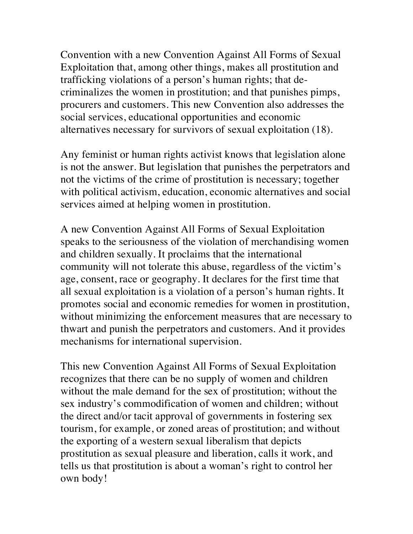Convention with a new Convention Against All Forms of Sexual Exploitation that, among other things, makes all prostitution and trafficking violations of a person's human rights; that decriminalizes the women in prostitution; and that punishes pimps, procurers and customers. This new Convention also addresses the social services, educational opportunities and economic alternatives necessary for survivors of sexual exploitation (18).

Any feminist or human rights activist knows that legislation alone is not the answer. But legislation that punishes the perpetrators and not the victims of the crime of prostitution is necessary; together with political activism, education, economic alternatives and social services aimed at helping women in prostitution.

A new Convention Against All Forms of Sexual Exploitation speaks to the seriousness of the violation of merchandising women and children sexually. It proclaims that the international community will not tolerate this abuse, regardless of the victim's age, consent, race or geography. It declares for the first time that all sexual exploitation is a violation of a person's human rights. It promotes social and economic remedies for women in prostitution, without minimizing the enforcement measures that are necessary to thwart and punish the perpetrators and customers. And it provides mechanisms for international supervision.

This new Convention Against All Forms of Sexual Exploitation recognizes that there can be no supply of women and children without the male demand for the sex of prostitution; without the sex industry's commodification of women and children; without the direct and/or tacit approval of governments in fostering sex tourism, for example, or zoned areas of prostitution; and without the exporting of a western sexual liberalism that depicts prostitution as sexual pleasure and liberation, calls it work, and tells us that prostitution is about a woman's right to control her own body!